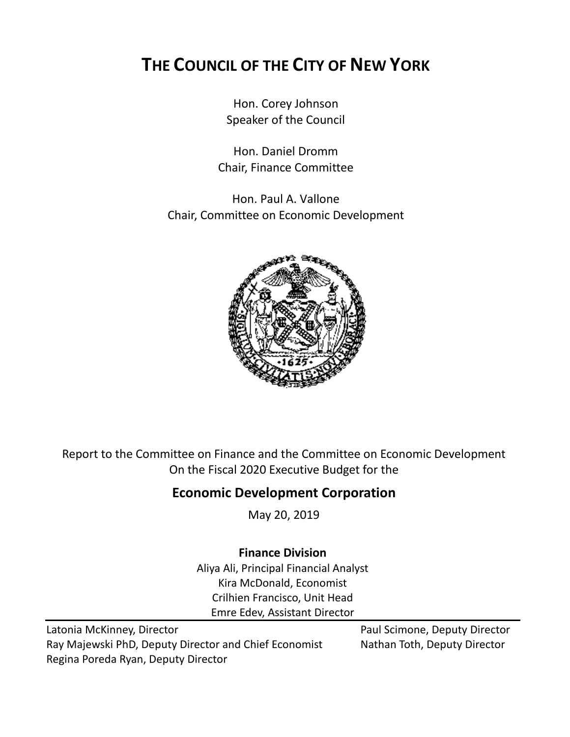# **THE COUNCIL OF THE CITY OF NEW YORK**

Hon. Corey Johnson Speaker of the Council

Hon. Daniel Dromm Chair, Finance Committee

Hon. Paul A. Vallone Chair, Committee on Economic Development



Report to the Committee on Finance and the Committee on Economic Development On the Fiscal 2020 Executive Budget for the

## **Economic Development Corporation**

May 20, 2019

## **Finance Division**

Aliya Ali, Principal Financial Analyst Kira McDonald, Economist Crilhien Francisco, Unit Head Emre Edev, Assistant Director

Latonia McKinney, Director **Paul Scimone, Deputy Director** Paul Scimone, Deputy Director Ray Majewski PhD, Deputy Director and Chief Economist Nathan Toth, Deputy Director Regina Poreda Ryan, Deputy Director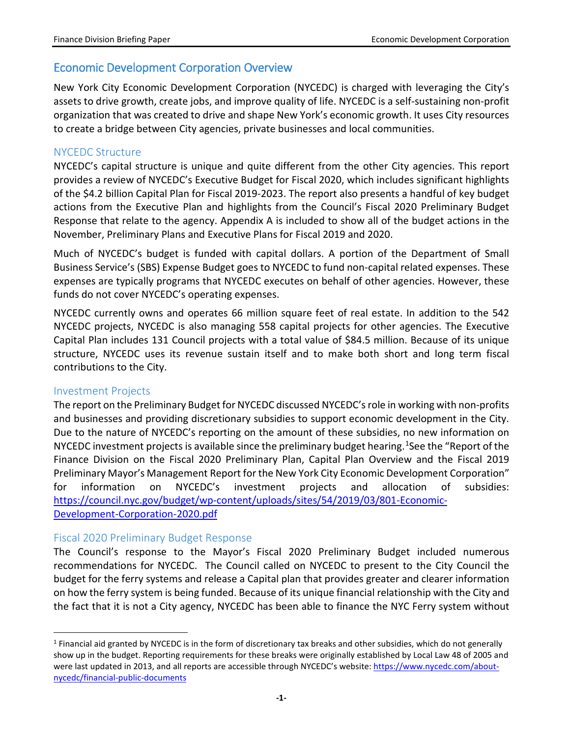### Economic Development Corporation Overview

New York City Economic Development Corporation (NYCEDC) is charged with leveraging the City's assets to drive growth, create jobs, and improve quality of life. NYCEDC is a self-sustaining non-profit organization that was created to drive and shape New York's economic growth. It uses City resources to create a bridge between City agencies, private businesses and local communities.

#### NYCEDC Structure

NYCEDC's capital structure is unique and quite different from the other City agencies. This report provides a review of NYCEDC's Executive Budget for Fiscal 2020, which includes significant highlights of the \$4.2 billion Capital Plan for Fiscal 2019-2023. The report also presents a handful of key budget actions from the Executive Plan and highlights from the Council's Fiscal 2020 Preliminary Budget Response that relate to the agency. Appendix A is included to show all of the budget actions in the November, Preliminary Plans and Executive Plans for Fiscal 2019 and 2020.

Much of NYCEDC's budget is funded with capital dollars. A portion of the Department of Small Business Service's (SBS) Expense Budget goes to NYCEDC to fund non-capital related expenses. These expenses are typically programs that NYCEDC executes on behalf of other agencies. However, these funds do not cover NYCEDC's operating expenses.

NYCEDC currently owns and operates 66 million square feet of real estate. In addition to the 542 NYCEDC projects, NYCEDC is also managing 558 capital projects for other agencies. The Executive Capital Plan includes 131 Council projects with a total value of \$84.5 million. Because of its unique structure, NYCEDC uses its revenue sustain itself and to make both short and long term fiscal contributions to the City.

#### Investment Projects

The report on the Preliminary Budget for NYCEDC discussed NYCEDC's role in working with non-profits and businesses and providing discretionary subsidies to support economic development in the City. Due to the nature of NYCEDC's reporting on the amount of these subsidies, no new information on NYCEDC investment projects is available since the preliminary budget hearing.<sup>1</sup>See the "Report of the Finance Division on the Fiscal 2020 Preliminary Plan, Capital Plan Overview and the Fiscal 2019 Preliminary Mayor's Management Report for the New York City Economic Development Corporation" for information on NYCEDC's investment projects and allocation of subsidies: [https://council.nyc.gov/budget/wp-content/uploads/sites/54/2019/03/801-Economic-](https://council.nyc.gov/budget/wp-content/uploads/sites/54/2019/03/801-Economic-Development-Corporation-2020.pdf)[Development-Corporation-2020.pdf](https://council.nyc.gov/budget/wp-content/uploads/sites/54/2019/03/801-Economic-Development-Corporation-2020.pdf)

#### Fiscal 2020 Preliminary Budget Response

The Council's response to the Mayor's Fiscal 2020 Preliminary Budget included numerous recommendations for NYCEDC. The Council called on NYCEDC to present to the City Council the budget for the ferry systems and release a Capital plan that provides greater and clearer information on how the ferry system is being funded. Because of its unique financial relationship with the City and the fact that it is not a City agency, NYCEDC has been able to finance the NYC Ferry system without

<span id="page-1-0"></span> $<sup>1</sup>$  Financial aid granted by NYCEDC is in the form of discretionary tax breaks and other subsidies, which do not generally</sup> show up in the budget. Reporting requirements for these breaks were originally established by Local Law 48 of 2005 and were last updated in 2013, and all reports are accessible through NYCEDC's website[: https://www.nycedc.com/about](https://www.nycedc.com/about-nycedc/financial-public-documents)[nycedc/financial-public-documents](https://www.nycedc.com/about-nycedc/financial-public-documents)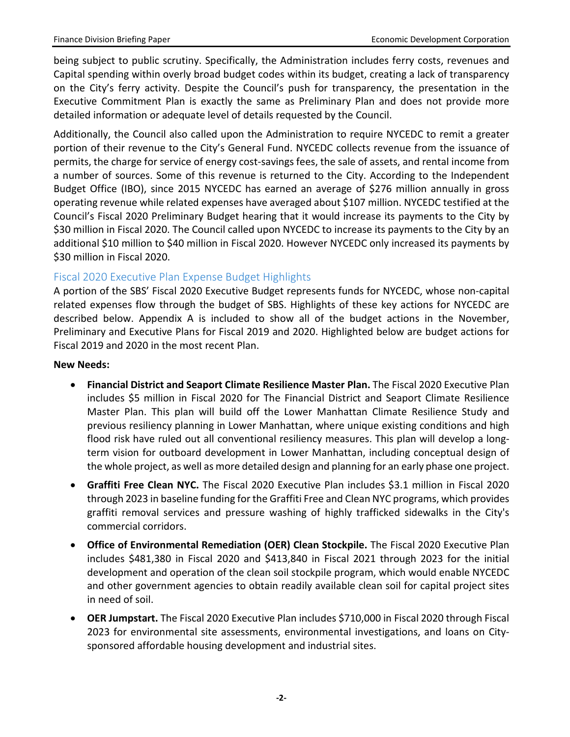being subject to public scrutiny. Specifically, the Administration includes ferry costs, revenues and Capital spending within overly broad budget codes within its budget, creating a lack of transparency on the City's ferry activity. Despite the Council's push for transparency, the presentation in the Executive Commitment Plan is exactly the same as Preliminary Plan and does not provide more detailed information or adequate level of details requested by the Council.

Additionally, the Council also called upon the Administration to require NYCEDC to remit a greater portion of their revenue to the City's General Fund. NYCEDC collects revenue from the issuance of permits, the charge for service of energy cost-savings fees, the sale of assets, and rental income from a number of sources. Some of this revenue is returned to the City. According to the Independent Budget Office (IBO), since 2015 NYCEDC has earned an average of \$276 million annually in gross operating revenue while related expenses have averaged about \$107 million. NYCEDC testified at the Council's Fiscal 2020 Preliminary Budget hearing that it would increase its payments to the City by \$30 million in Fiscal 2020. The Council called upon NYCEDC to increase its payments to the City by an additional \$10 million to \$40 million in Fiscal 2020. However NYCEDC only increased its payments by \$30 million in Fiscal 2020.

#### Fiscal 2020 Executive Plan Expense Budget Highlights

A portion of the SBS' Fiscal 2020 Executive Budget represents funds for NYCEDC, whose non-capital related expenses flow through the budget of SBS. Highlights of these key actions for NYCEDC are described below. Appendix A is included to show all of the budget actions in the November, Preliminary and Executive Plans for Fiscal 2019 and 2020. Highlighted below are budget actions for Fiscal 2019 and 2020 in the most recent Plan.

#### **New Needs:**

- **Financial District and Seaport Climate Resilience Master Plan.** The Fiscal 2020 Executive Plan includes \$5 million in Fiscal 2020 for The Financial District and Seaport Climate Resilience Master Plan. This plan will build off the Lower Manhattan Climate Resilience Study and previous resiliency planning in Lower Manhattan, where unique existing conditions and high flood risk have ruled out all conventional resiliency measures. This plan will develop a longterm vision for outboard development in Lower Manhattan, including conceptual design of the whole project, as well as more detailed design and planning for an early phase one project.
- **Graffiti Free Clean NYC.** The Fiscal 2020 Executive Plan includes \$3.1 million in Fiscal 2020 through 2023 in baseline funding for the Graffiti Free and Clean NYC programs, which provides graffiti removal services and pressure washing of highly trafficked sidewalks in the City's commercial corridors.
- **Office of Environmental Remediation (OER) Clean Stockpile.** The Fiscal 2020 Executive Plan includes \$481,380 in Fiscal 2020 and \$413,840 in Fiscal 2021 through 2023 for the initial development and operation of the clean soil stockpile program, which would enable NYCEDC and other government agencies to obtain readily available clean soil for capital project sites in need of soil.
- **OER Jumpstart.** The Fiscal 2020 Executive Plan includes \$710,000 in Fiscal 2020 through Fiscal 2023 for environmental site assessments, environmental investigations, and loans on Citysponsored affordable housing development and industrial sites.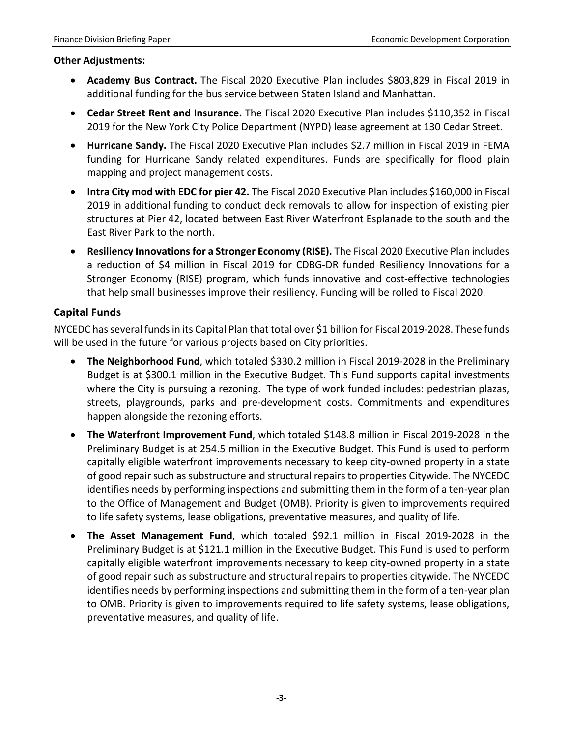#### **Other Adjustments:**

- **Academy Bus Contract.** The Fiscal 2020 Executive Plan includes \$803,829 in Fiscal 2019 in additional funding for the bus service between Staten Island and Manhattan.
- **Cedar Street Rent and Insurance.** The Fiscal 2020 Executive Plan includes \$110,352 in Fiscal 2019 for the New York City Police Department (NYPD) lease agreement at 130 Cedar Street.
- **Hurricane Sandy.** The Fiscal 2020 Executive Plan includes \$2.7 million in Fiscal 2019 in FEMA funding for Hurricane Sandy related expenditures. Funds are specifically for flood plain mapping and project management costs.
- **Intra City mod with EDC for pier 42.** The Fiscal 2020 Executive Plan includes \$160,000 in Fiscal 2019 in additional funding to conduct deck removals to allow for inspection of existing pier structures at Pier 42, located between East River Waterfront Esplanade to the south and the East River Park to the north.
- **Resiliency Innovations for a Stronger Economy (RISE).** The Fiscal 2020 Executive Plan includes a reduction of \$4 million in Fiscal 2019 for CDBG-DR funded Resiliency Innovations for a Stronger Economy (RISE) program, which funds innovative and cost-effective technologies that help small businesses improve their resiliency. Funding will be rolled to Fiscal 2020.

#### **Capital Funds**

NYCEDC has several funds in its Capital Plan that total over \$1 billion for Fiscal 2019-2028. These funds will be used in the future for various projects based on City priorities.

- The Neighborhood Fund, which totaled \$330.2 million in Fiscal 2019-2028 in the Preliminary Budget is at \$300.1 million in the Executive Budget. This Fund supports capital investments where the City is pursuing a rezoning. The type of work funded includes: pedestrian plazas, streets, playgrounds, parks and pre-development costs. Commitments and expenditures happen alongside the rezoning efforts.
- **The Waterfront Improvement Fund**, which totaled \$148.8 million in Fiscal 2019-2028 in the Preliminary Budget is at 254.5 million in the Executive Budget. This Fund is used to perform capitally eligible waterfront improvements necessary to keep city-owned property in a state of good repair such as substructure and structural repairs to properties Citywide. The NYCEDC identifies needs by performing inspections and submitting them in the form of a ten-year plan to the Office of Management and Budget (OMB). Priority is given to improvements required to life safety systems, lease obligations, preventative measures, and quality of life.
- **The Asset Management Fund**, which totaled \$92.1 million in Fiscal 2019-2028 in the Preliminary Budget is at \$121.1 million in the Executive Budget. This Fund is used to perform capitally eligible waterfront improvements necessary to keep city-owned property in a state of good repair such as substructure and structural repairs to properties citywide. The NYCEDC identifies needs by performing inspections and submitting them in the form of a ten-year plan to OMB. Priority is given to improvements required to life safety systems, lease obligations, preventative measures, and quality of life.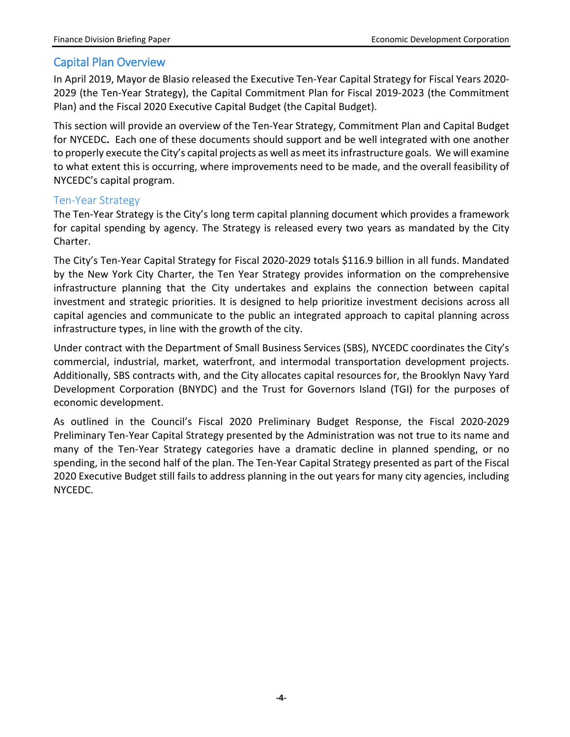### Capital Plan Overview

In April 2019, Mayor de Blasio released the Executive Ten-Year Capital Strategy for Fiscal Years 2020- 2029 (the Ten-Year Strategy), the Capital Commitment Plan for Fiscal 2019-2023 (the Commitment Plan) and the Fiscal 2020 Executive Capital Budget (the Capital Budget).

This section will provide an overview of the Ten-Year Strategy, Commitment Plan and Capital Budget for NYCEDC**.** Each one of these documents should support and be well integrated with one another to properly execute the City's capital projects as well as meet its infrastructure goals. We will examine to what extent this is occurring, where improvements need to be made, and the overall feasibility of NYCEDC's capital program.

#### Ten-Year Strategy

The Ten-Year Strategy is the City's long term capital planning document which provides a framework for capital spending by agency. The Strategy is released every two years as mandated by the City Charter.

The City's Ten-Year Capital Strategy for Fiscal 2020-2029 totals \$116.9 billion in all funds. Mandated by the New York City Charter, the Ten Year Strategy provides information on the comprehensive infrastructure planning that the City undertakes and explains the connection between capital investment and strategic priorities. It is designed to help prioritize investment decisions across all capital agencies and communicate to the public an integrated approach to capital planning across infrastructure types, in line with the growth of the city.

Under contract with the Department of Small Business Services (SBS), NYCEDC coordinates the City's commercial, industrial, market, waterfront, and intermodal transportation development projects. Additionally, SBS contracts with, and the City allocates capital resources for, the Brooklyn Navy Yard Development Corporation (BNYDC) and the Trust for Governors Island (TGI) for the purposes of economic development.

As outlined in the Council's Fiscal 2020 Preliminary Budget Response, the Fiscal 2020-2029 Preliminary Ten-Year Capital Strategy presented by the Administration was not true to its name and many of the Ten-Year Strategy categories have a dramatic decline in planned spending, or no spending, in the second half of the plan. The Ten-Year Capital Strategy presented as part of the Fiscal 2020 Executive Budget still fails to address planning in the out years for many city agencies, including NYCEDC.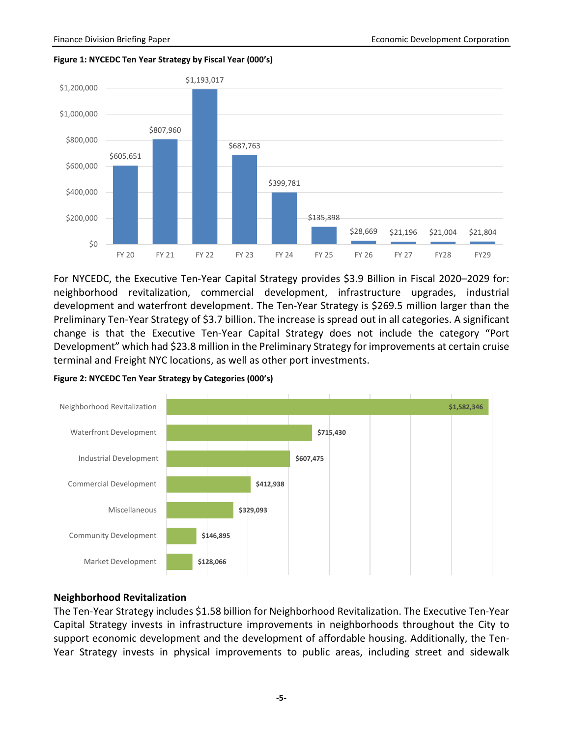



For NYCEDC, the Executive Ten-Year Capital Strategy provides \$3.9 Billion in Fiscal 2020–2029 for: neighborhood revitalization, commercial development, infrastructure upgrades, industrial development and waterfront development. The Ten-Year Strategy is \$269.5 million larger than the Preliminary Ten-Year Strategy of \$3.7 billion. The increase is spread out in all categories. A significant change is that the Executive Ten-Year Capital Strategy does not include the category "Port Development" which had \$23.8 million in the Preliminary Strategy for improvements at certain cruise terminal and Freight NYC locations, as well as other port investments.



**Figure 2: NYCEDC Ten Year Strategy by Categories (000's)**

#### **Neighborhood Revitalization**

The Ten-Year Strategy includes \$1.58 billion for Neighborhood Revitalization. The Executive Ten-Year Capital Strategy invests in infrastructure improvements in neighborhoods throughout the City to support economic development and the development of affordable housing. Additionally, the Ten-Year Strategy invests in physical improvements to public areas, including street and sidewalk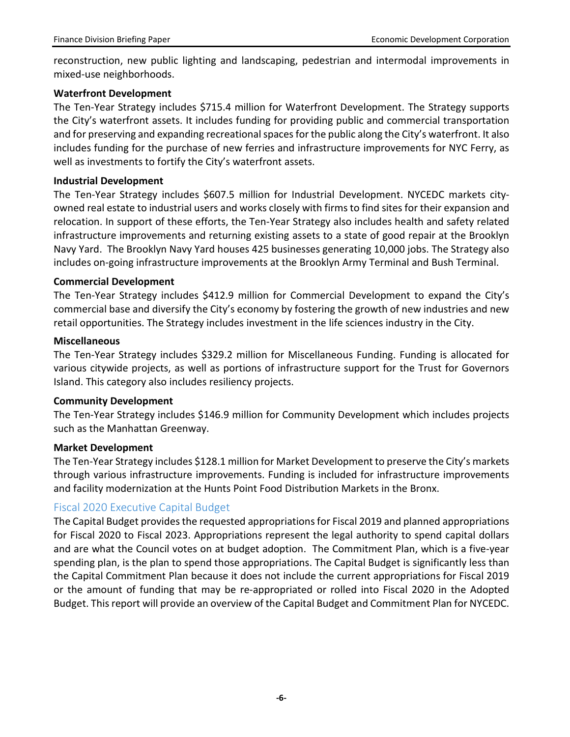reconstruction, new public lighting and landscaping, pedestrian and intermodal improvements in mixed-use neighborhoods.

#### **Waterfront Development**

The Ten-Year Strategy includes \$715.4 million for Waterfront Development. The Strategy supports the City's waterfront assets. It includes funding for providing public and commercial transportation and for preserving and expanding recreational spaces for the public along the City's waterfront. It also includes funding for the purchase of new ferries and infrastructure improvements for NYC Ferry, as well as investments to fortify the City's waterfront assets.

#### **Industrial Development**

The Ten-Year Strategy includes \$607.5 million for Industrial Development. NYCEDC markets cityowned real estate to industrial users and works closely with firms to find sites for their expansion and relocation. In support of these efforts, the Ten-Year Strategy also includes health and safety related infrastructure improvements and returning existing assets to a state of good repair at the Brooklyn Navy Yard. The Brooklyn Navy Yard houses 425 businesses generating 10,000 jobs. The Strategy also includes on-going infrastructure improvements at the Brooklyn Army Terminal and Bush Terminal.

#### **Commercial Development**

The Ten-Year Strategy includes \$412.9 million for Commercial Development to expand the City's commercial base and diversify the City's economy by fostering the growth of new industries and new retail opportunities. The Strategy includes investment in the life sciences industry in the City.

#### **Miscellaneous**

The Ten-Year Strategy includes \$329.2 million for Miscellaneous Funding. Funding is allocated for various citywide projects, as well as portions of infrastructure support for the Trust for Governors Island. This category also includes resiliency projects.

#### **Community Development**

The Ten-Year Strategy includes \$146.9 million for Community Development which includes projects such as the Manhattan Greenway.

#### **Market Development**

The Ten-Year Strategy includes \$128.1 million for Market Development to preserve the City's markets through various infrastructure improvements. Funding is included for infrastructure improvements and facility modernization at the Hunts Point Food Distribution Markets in the Bronx.

#### Fiscal 2020 Executive Capital Budget

The Capital Budget provides the requested appropriations for Fiscal 2019 and planned appropriations for Fiscal 2020 to Fiscal 2023. Appropriations represent the legal authority to spend capital dollars and are what the Council votes on at budget adoption. The Commitment Plan, which is a five-year spending plan, is the plan to spend those appropriations. The Capital Budget is significantly less than the Capital Commitment Plan because it does not include the current appropriations for Fiscal 2019 or the amount of funding that may be re-appropriated or rolled into Fiscal 2020 in the Adopted Budget. This report will provide an overview of the Capital Budget and Commitment Plan for NYCEDC.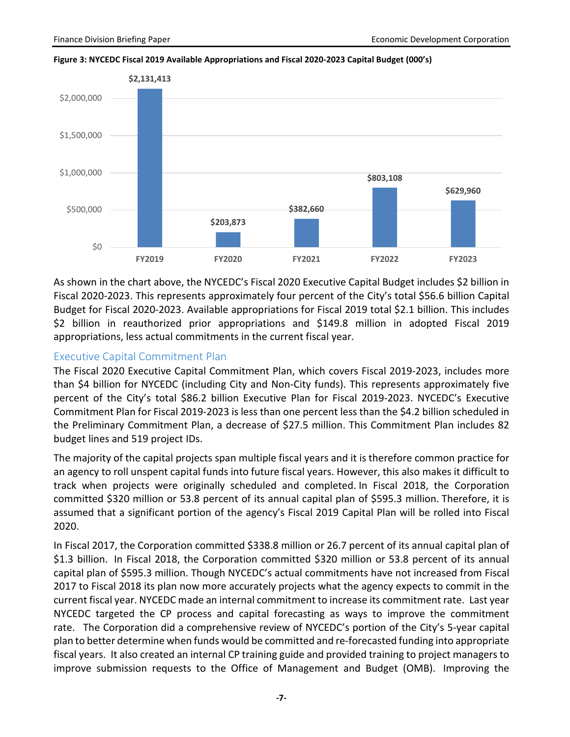



As shown in the chart above, the NYCEDC's Fiscal 2020 Executive Capital Budget includes \$2 billion in Fiscal 2020-2023. This represents approximately four percent of the City's total \$56.6 billion Capital Budget for Fiscal 2020-2023. Available appropriations for Fiscal 2019 total \$2.1 billion. This includes \$2 billion in reauthorized prior appropriations and \$149.8 million in adopted Fiscal 2019 appropriations, less actual commitments in the current fiscal year.

#### Executive Capital Commitment Plan

The Fiscal 2020 Executive Capital Commitment Plan, which covers Fiscal 2019-2023, includes more than \$4 billion for NYCEDC (including City and Non-City funds). This represents approximately five percent of the City's total \$86.2 billion Executive Plan for Fiscal 2019-2023. NYCEDC's Executive Commitment Plan for Fiscal 2019-2023 is less than one percent less than the \$4.2 billion scheduled in the Preliminary Commitment Plan, a decrease of \$27.5 million. This Commitment Plan includes 82 budget lines and 519 project IDs.

The majority of the capital projects span multiple fiscal years and it is therefore common practice for an agency to roll unspent capital funds into future fiscal years. However, this also makes it difficult to track when projects were originally scheduled and completed. In Fiscal 2018, the Corporation committed \$320 million or 53.8 percent of its annual capital plan of \$595.3 million. Therefore, it is assumed that a significant portion of the agency's Fiscal 2019 Capital Plan will be rolled into Fiscal 2020.

In Fiscal 2017, the Corporation committed \$338.8 million or 26.7 percent of its annual capital plan of \$1.3 billion. In Fiscal 2018, the Corporation committed \$320 million or 53.8 percent of its annual capital plan of \$595.3 million. Though NYCEDC's actual commitments have not increased from Fiscal 2017 to Fiscal 2018 its plan now more accurately projects what the agency expects to commit in the current fiscal year. NYCEDC made an internal commitment to increase its commitment rate. Last year NYCEDC targeted the CP process and capital forecasting as ways to improve the commitment rate. The Corporation did a comprehensive review of NYCEDC's portion of the City's 5-year capital plan to better determine when funds would be committed and re-forecasted funding into appropriate fiscal years. It also created an internal CP training guide and provided training to project managers to improve submission requests to the Office of Management and Budget (OMB). Improving the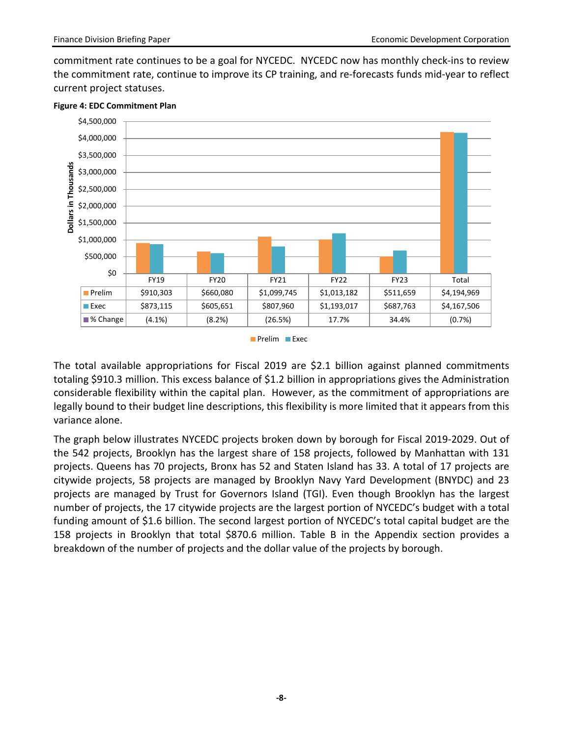commitment rate continues to be a goal for NYCEDC. NYCEDC now has monthly check-ins to review the commitment rate, continue to improve its CP training, and re-forecasts funds mid-year to reflect current project statuses.



#### **Figure 4: EDC Commitment Plan**

Prelim **Exec** 

The total available appropriations for Fiscal 2019 are \$2.1 billion against planned commitments totaling \$910.3 million. This excess balance of \$1.2 billion in appropriations gives the Administration considerable flexibility within the capital plan. However, as the commitment of appropriations are legally bound to their budget line descriptions, this flexibility is more limited that it appears from this variance alone.

The graph below illustrates NYCEDC projects broken down by borough for Fiscal 2019-2029. Out of the 542 projects, Brooklyn has the largest share of 158 projects, followed by Manhattan with 131 projects. Queens has 70 projects, Bronx has 52 and Staten Island has 33. A total of 17 projects are citywide projects, 58 projects are managed by Brooklyn Navy Yard Development (BNYDC) and 23 projects are managed by Trust for Governors Island (TGI). Even though Brooklyn has the largest number of projects, the 17 citywide projects are the largest portion of NYCEDC's budget with a total funding amount of \$1.6 billion. The second largest portion of NYCEDC's total capital budget are the 158 projects in Brooklyn that total \$870.6 million. Table B in the Appendix section provides a breakdown of the number of projects and the dollar value of the projects by borough.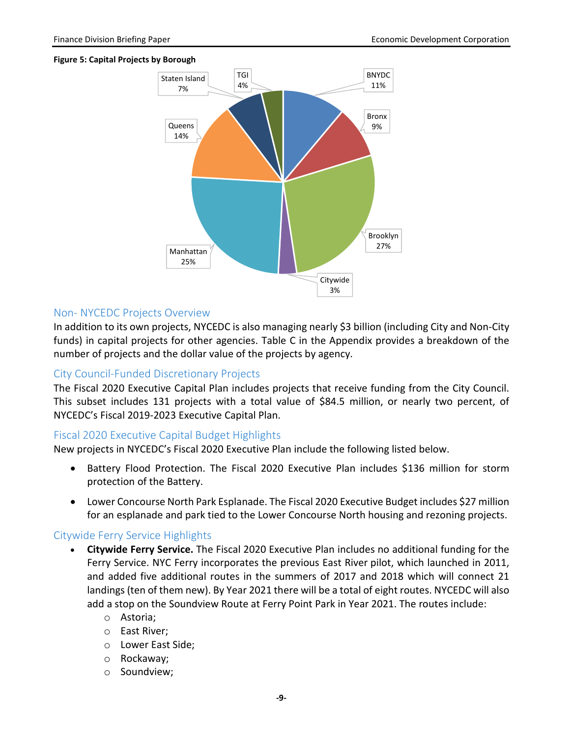#### **Figure 5: Capital Projects by Borough**



#### Non- NYCEDC Projects Overview

In addition to its own projects, NYCEDC is also managing nearly \$3 billion (including City and Non-City funds) in capital projects for other agencies. Table C in the Appendix provides a breakdown of the number of projects and the dollar value of the projects by agency.

#### City Council-Funded Discretionary Projects

The Fiscal 2020 Executive Capital Plan includes projects that receive funding from the City Council. This subset includes 131 projects with a total value of \$84.5 million, or nearly two percent, of NYCEDC's Fiscal 2019-2023 Executive Capital Plan.

#### Fiscal 2020 Executive Capital Budget Highlights

New projects in NYCEDC's Fiscal 2020 Executive Plan include the following listed below.

- Battery Flood Protection. The Fiscal 2020 Executive Plan includes \$136 million for storm protection of the Battery.
- Lower Concourse North Park Esplanade. The Fiscal 2020 Executive Budget includes \$27 million for an esplanade and park tied to the Lower Concourse North housing and rezoning projects.

#### Citywide Ferry Service Highlights

- **Citywide Ferry Service.** The Fiscal 2020 Executive Plan includes no additional funding for the Ferry Service. NYC Ferry incorporates the previous East River pilot, which launched in 2011, and added five additional routes in the summers of 2017 and 2018 which will connect 21 landings (ten of them new). By Year 2021 there will be a total of eight routes. NYCEDC will also add a stop on the Soundview Route at Ferry Point Park in Year 2021. The routes include:
	- o Astoria;
	- o East River;
	- o Lower East Side;
	- o Rockaway;
	- o Soundview;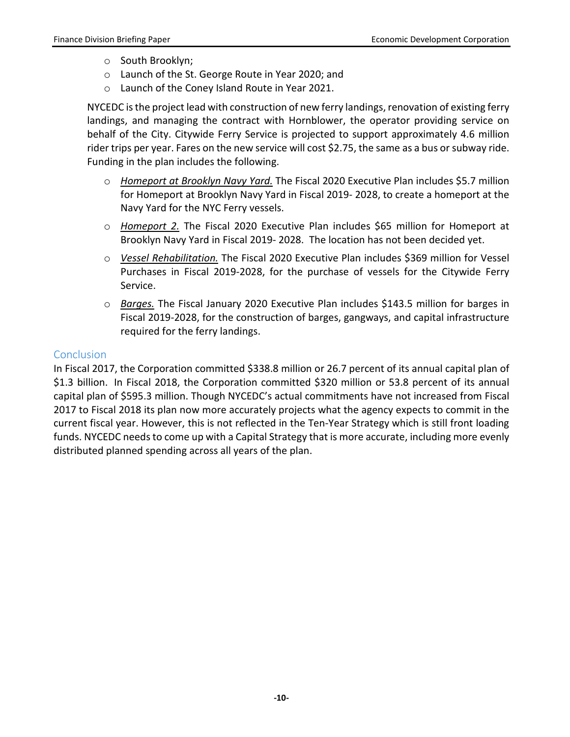- o South Brooklyn;
- o Launch of the St. George Route in Year 2020; and
- o Launch of the Coney Island Route in Year 2021.

NYCEDC is the project lead with construction of new ferry landings, renovation of existing ferry landings, and managing the contract with Hornblower, the operator providing service on behalf of the City. Citywide Ferry Service is projected to support approximately 4.6 million rider trips per year. Fares on the new service will cost \$2.75, the same as a bus or subway ride. Funding in the plan includes the following.

- o *Homeport at Brooklyn Navy Yard.* The Fiscal 2020 Executive Plan includes \$5.7 million for Homeport at Brooklyn Navy Yard in Fiscal 2019- 2028, to create a homeport at the Navy Yard for the NYC Ferry vessels.
- o *Homeport 2.* The Fiscal 2020 Executive Plan includes \$65 million for Homeport at Brooklyn Navy Yard in Fiscal 2019- 2028. The location has not been decided yet.
- o *Vessel Rehabilitation.* The Fiscal 2020 Executive Plan includes \$369 million for Vessel Purchases in Fiscal 2019-2028, for the purchase of vessels for the Citywide Ferry Service.
- o *Barges.* The Fiscal January 2020 Executive Plan includes \$143.5 million for barges in Fiscal 2019-2028, for the construction of barges, gangways, and capital infrastructure required for the ferry landings.

#### Conclusion

In Fiscal 2017, the Corporation committed \$338.8 million or 26.7 percent of its annual capital plan of \$1.3 billion. In Fiscal 2018, the Corporation committed \$320 million or 53.8 percent of its annual capital plan of \$595.3 million. Though NYCEDC's actual commitments have not increased from Fiscal 2017 to Fiscal 2018 its plan now more accurately projects what the agency expects to commit in the current fiscal year. However, this is not reflected in the Ten-Year Strategy which is still front loading funds. NYCEDC needs to come up with a Capital Strategy that is more accurate, including more evenly distributed planned spending across all years of the plan.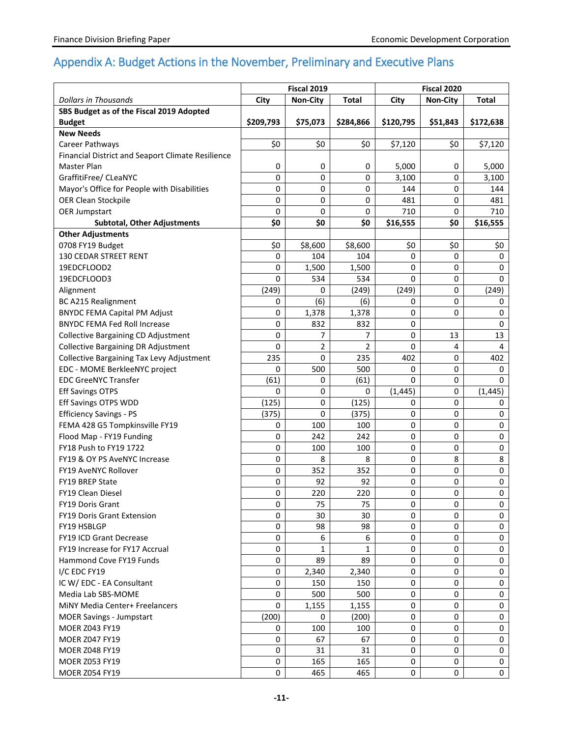# Appendix A: Budget Actions in the November, Preliminary and Executive Plans

|                                                   | Fiscal 2019 |                 |                | Fiscal 2020 |             |              |  |
|---------------------------------------------------|-------------|-----------------|----------------|-------------|-------------|--------------|--|
| <b>Dollars in Thousands</b>                       | City        | <b>Non-City</b> | Total          | City        | Non-City    | <b>Total</b> |  |
| SBS Budget as of the Fiscal 2019 Adopted          |             |                 |                |             |             |              |  |
| <b>Budget</b>                                     | \$209,793   | \$75,073        | \$284,866      | \$120,795   | \$51,843    | \$172,638    |  |
| <b>New Needs</b>                                  |             |                 |                |             |             |              |  |
| Career Pathways                                   | \$0         | \$0             | \$0            | \$7,120     | \$0         | \$7,120      |  |
| Financial District and Seaport Climate Resilience |             |                 |                |             |             |              |  |
| Master Plan                                       | 0           | 0               | 0              | 5,000       | 0           | 5,000        |  |
| GraffitiFree/ CLeaNYC                             | $\mathbf 0$ | 0               | $\mathbf 0$    | 3,100       | $\mathbf 0$ | 3,100        |  |
| Mayor's Office for People with Disabilities       | 0           | 0               | 0              | 144         | 0           | 144          |  |
| OER Clean Stockpile                               | $\mathbf 0$ | 0               | 0              | 481         | 0           | 481          |  |
| <b>OER Jumpstart</b>                              | $\Omega$    | 0               | $\mathbf 0$    | 710         | 0           | 710          |  |
| <b>Subtotal, Other Adjustments</b>                | \$0         | \$0             | \$0            | \$16,555    | \$0         | \$16,555     |  |
| <b>Other Adjustments</b>                          |             |                 |                |             |             |              |  |
| 0708 FY19 Budget                                  | \$0         | \$8,600         | \$8,600        | \$0         | \$0         | \$0          |  |
| 130 CEDAR STREET RENT                             | $\mathbf 0$ | 104             | 104            | 0           | $\mathbf 0$ | 0            |  |
| 19EDCFLOOD2                                       | 0           | 1,500           | 1,500          | 0           | 0           | 0            |  |
| 19EDCFLOOD3                                       | 0           | 534             | 534            | 0           | 0           | 0            |  |
| Alignment                                         | (249)       | 0               | (249)          | (249)       | 0           | (249)        |  |
| <b>BC A215 Realignment</b>                        | 0           | (6)             | (6)            | 0           | $\mathbf 0$ | 0            |  |
| <b>BNYDC FEMA Capital PM Adjust</b>               | 0           | 1,378           | 1,378          | 0           | $\Omega$    | 0            |  |
| <b>BNYDC FEMA Fed Roll Increase</b>               | 0           | 832             | 832            | 0           |             | 0            |  |
| <b>Collective Bargaining CD Adjustment</b>        | 0           | 7               | 7              | 0           | 13          | 13           |  |
| <b>Collective Bargaining DR Adjustment</b>        | $\mathbf 0$ | 2               | $\overline{2}$ | 0           | 4           | 4            |  |
| <b>Collective Bargaining Tax Levy Adjustment</b>  | 235         | 0               | 235            | 402         | 0           | 402          |  |
| EDC - MOME BerkleeNYC project                     | 0           | 500             | 500            | 0           | 0           | 0            |  |
| <b>EDC GreeNYC Transfer</b>                       | (61)        | 0               | (61)           | 0           | $\mathbf 0$ | 0            |  |
| <b>Eff Savings OTPS</b>                           | 0           | 0               | $\Omega$       | (1, 445)    | $\mathbf 0$ | (1, 445)     |  |
| Eff Savings OTPS WDD                              | (125)       | 0               | (125)          | 0           | $\mathbf 0$ | 0            |  |
| <b>Efficiency Savings - PS</b>                    | (375)       | 0               | (375)          | 0           | $\mathbf 0$ | 0            |  |
| FEMA 428 G5 Tompkinsville FY19                    | 0           | 100             | 100            | 0           | $\mathbf 0$ | 0            |  |
| Flood Map - FY19 Funding                          | $\mathbf 0$ | 242             | 242            | 0           | 0           | 0            |  |
| FY18 Push to FY19 1722                            | $\mathbf 0$ | 100             | 100            | 0           | 0           | 0            |  |
| FY19 & OY PS AveNYC Increase                      | 0           | 8               | 8              | 0           | 8           | 8            |  |
| FY19 AveNYC Rollover                              | $\mathbf 0$ | 352             | 352            | 0           | $\mathbf 0$ | 0            |  |
| FY19 BREP State                                   | $\mathbf 0$ | 92              | 92             | 0           | 0           | 0            |  |
| <b>FY19 Clean Diesel</b>                          | $\mathbf 0$ | 220             | 220            | 0           | $\mathbf 0$ | 0            |  |
| <b>FY19 Doris Grant</b>                           | $\pmb{0}$   | 75              | 75             | 0           | 0           | 0            |  |
| <b>FY19 Doris Grant Extension</b>                 | $\mathsf 0$ | 30              | 30             | 0           | $\mathbf 0$ | 0            |  |
| FY19 HSBLGP                                       | $\mathsf 0$ | 98              | 98             | 0           | 0           | 0            |  |
| FY19 ICD Grant Decrease                           | $\mathbf 0$ | 6               | 6              | 0           | 0           | 0            |  |
| FY19 Increase for FY17 Accrual                    | $\mathsf 0$ | 1               | $\mathbf{1}$   | 0           | 0           | 0            |  |
| Hammond Cove FY19 Funds                           | $\mathbf 0$ | 89              | 89             | 0           | $\mathbf 0$ | 0            |  |
| I/C EDC FY19                                      | $\mathbf 0$ | 2,340           | 2,340          | 0           | 0           | 0            |  |
| IC W/ EDC - EA Consultant                         | $\mathbf 0$ | 150             | 150            | 0           | 0           | 0            |  |
| Media Lab SBS-MOME                                | 0           | 500             | 500            | 0           | 0           | 0            |  |
| MINY Media Center+ Freelancers                    | $\Omega$    | 1,155           | 1,155          | 0           | 0           | 0            |  |
| <b>MOER Savings - Jumpstart</b>                   | (200)       | 0               | (200)          | 0           | 0           | 0            |  |
| <b>MOER Z043 FY19</b>                             | 0           | 100             | 100            | 0           | $\mathbf 0$ | 0            |  |
| MOER Z047 FY19                                    | 0           | 67              | 67             | 0           | 0           | 0            |  |
| MOER Z048 FY19                                    | $\mathbf 0$ | 31              | 31             | 0           | 0           | 0            |  |
| MOER Z053 FY19                                    | $\pmb{0}$   | 165             | 165            | 0           | 0           | 0            |  |
| MOER Z054 FY19                                    | $\pmb{0}$   | 465             | 465            | 0           | 0           | 0            |  |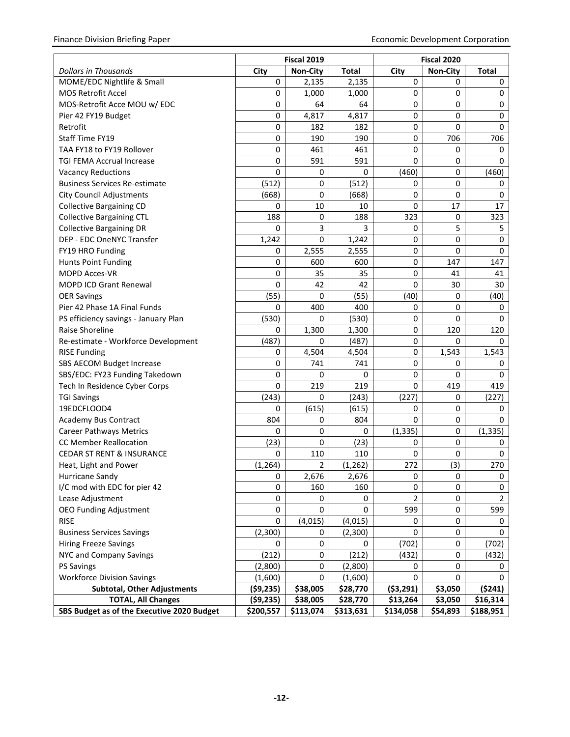|                                            | <b>Fiscal 2019</b> |                 | Fiscal 2020  |            |                 |                |
|--------------------------------------------|--------------------|-----------------|--------------|------------|-----------------|----------------|
| <b>Dollars in Thousands</b>                | City               | <b>Non-City</b> | <b>Total</b> | City       | <b>Non-City</b> | <b>Total</b>   |
| MOME/EDC Nightlife & Small                 | 0                  | 2,135           | 2,135        | 0          | 0               | 0              |
| <b>MOS Retrofit Accel</b>                  | 0                  | 1,000           | 1,000        | 0          | $\mathbf 0$     | $\mathbf 0$    |
| MOS-Retrofit Acce MOU w/ EDC               | 0                  | 64              | 64           | 0          | $\mathbf 0$     | 0              |
| Pier 42 FY19 Budget                        | 0                  | 4,817           | 4,817        | 0          | $\mathbf 0$     | 0              |
| Retrofit                                   | 0                  | 182             | 182          | 0          | $\mathbf 0$     | 0              |
| Staff Time FY19                            | 0                  | 190             | 190          | 0          | 706             | 706            |
| TAA FY18 to FY19 Rollover                  | 0                  | 461             | 461          | 0          | 0               | 0              |
| <b>TGI FEMA Accrual Increase</b>           | 0                  | 591             | 591          | 0          | $\mathbf 0$     | 0              |
| <b>Vacancy Reductions</b>                  | 0                  | 0               | 0            | (460)      | $\mathbf 0$     | (460)          |
| <b>Business Services Re-estimate</b>       | (512)              | 0               | (512)        | 0          | 0               | 0              |
| <b>City Council Adjustments</b>            | (668)              | 0               | (668)        | 0          | $\mathbf 0$     | 0              |
| <b>Collective Bargaining CD</b>            | 0                  | 10              | 10           | 0          | 17              | 17             |
| <b>Collective Bargaining CTL</b>           | 188                | 0               | 188          | 323        | 0               | 323            |
| <b>Collective Bargaining DR</b>            | 0                  | 3               | 3            | 0          | 5               | 5              |
| DEP - EDC OneNYC Transfer                  | 1,242              | $\mathbf 0$     | 1,242        | 0          | $\pmb{0}$       | 0              |
| FY19 HRO Funding                           | 0                  | 2,555           | 2,555        | 0          | 0               | 0              |
| <b>Hunts Point Funding</b>                 | 0                  | 600             | 600          | 0          | 147             | 147            |
| <b>MOPD Acces-VR</b>                       | 0                  | 35              | 35           | 0          | 41              | 41             |
| <b>MOPD ICD Grant Renewal</b>              | 0                  | 42              | 42           | 0          | 30              | 30             |
| <b>OER Savings</b>                         | (55)               | 0               | (55)         | (40)       | 0               | (40)           |
| Pier 42 Phase 1A Final Funds               | 0                  | 400             | 400          | 0          | 0               | 0              |
| PS efficiency savings - January Plan       | (530)              | 0               | (530)        | 0          | 0               | 0              |
| Raise Shoreline                            | 0                  | 1,300           | 1,300        | 0          | 120             | 120            |
| Re-estimate - Workforce Development        | (487)              | 0               | (487)        | 0          | 0               | 0              |
| <b>RISE Funding</b>                        | 0                  | 4,504           | 4,504        | 0          | 1,543           | 1,543          |
| SBS AECOM Budget Increase                  | 0                  | 741             | 741          | 0          | 0               | 0              |
| SBS/EDC: FY23 Funding Takedown             | 0                  | 0               | 0            | 0          | 0               | 0              |
| Tech In Residence Cyber Corps              | 0                  | 219             | 219          | 0          | 419             | 419            |
| <b>TGI Savings</b>                         | (243)              | 0               | (243)        | (227)      | 0               | (227)          |
| 19EDCFLOOD4                                | 0                  | (615)           | (615)        | 0          | 0               | 0              |
| <b>Academy Bus Contract</b>                | 804                | 0               | 804          | 0          | $\mathbf 0$     | 0              |
| <b>Career Pathways Metrics</b>             | 0                  | 0               | 0            | (1, 335)   | $\mathbf 0$     | (1, 335)       |
| <b>CC Member Reallocation</b>              | (23)               | $\pmb{0}$       | (23)         | 0          | $\pmb{0}$       | 0              |
| <b>CEDAR ST RENT &amp; INSURANCE</b>       | 0                  | 110             | 110          | 0          | 0               | 0              |
| Heat, Light and Power                      | (1, 264)           | 2               | (1, 262)     | 272        | (3)             | 270            |
| Hurricane Sandy                            | 0                  | 2,676           | 2,676        | 0          | 0               | 0              |
| I/C mod with EDC for pier 42               | 0                  | 160             | 160          | 0          | 0               | 0              |
| Lease Adjustment                           | 0                  | 0               | 0            | 2          | 0               | $\overline{2}$ |
| <b>OEO Funding Adjustment</b>              | 0                  | 0               | 0            | 599        | 0               | 599            |
| <b>RISE</b>                                | 0                  | (4, 015)        | (4,015)      | 0          | 0               | 0              |
| <b>Business Services Savings</b>           | (2,300)            | 0               | (2,300)      | 0          | $\pmb{0}$       | 0              |
| <b>Hiring Freeze Savings</b>               | 0                  | 0               | 0            | (702)      | $\pmb{0}$       | (702)          |
| NYC and Company Savings                    | (212)              | 0               | (212)        | (432)      | $\pmb{0}$       | (432)          |
| <b>PS Savings</b>                          | (2,800)            | $\pmb{0}$       | (2,800)      | 0          | 0               | 0              |
| <b>Workforce Division Savings</b>          | (1,600)            | $\mathbf 0$     | (1,600)      | 0          | 0               | 0              |
| <b>Subtotal, Other Adjustments</b>         | (59, 235)          | \$38,005        | \$28,770     | ( \$3,291) | \$3,050         | (5241)         |
| <b>TOTAL, All Changes</b>                  | (59, 235)          | \$38,005        | \$28,770     | \$13,264   | \$3,050         | \$16,314       |
| SBS Budget as of the Executive 2020 Budget | \$200,557          | \$113,074       | \$313,631    | \$134,058  | \$54,893        | \$188,951      |